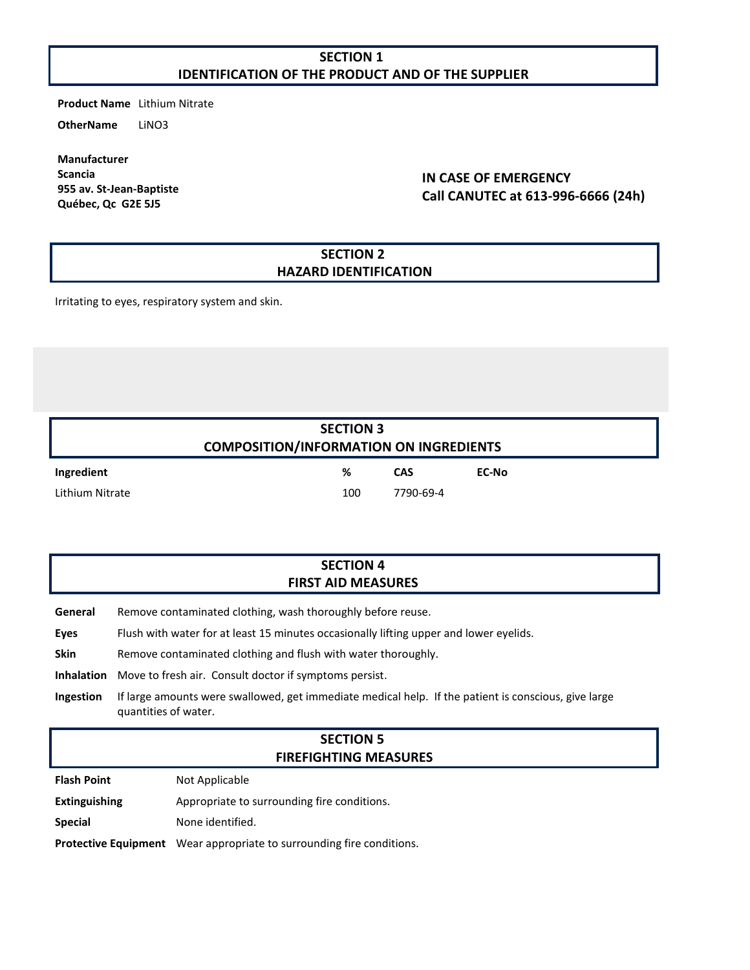# **SECTION 1 IDENTIFICATION OF THE PRODUCT AND OF THE SUPPLIER**

**Product Name** Lithium Nitrate

**OtherName** LiNO3

**Manufacturer Scancia 955 av. St-Jean-Baptiste Québec, Qc G2E 5J5**

# **IN CASE OF EMERGENCY Call CANUTEC at 613-996-6666 (24h)**

### **SECTION 2 HAZARD IDENTIFICATION**

Irritating to eyes, respiratory system and skin.

| <b>SECTION 3</b><br><b>COMPOSITION/INFORMATION ON INGREDIENTS</b> |     |            |       |  |
|-------------------------------------------------------------------|-----|------------|-------|--|
| Ingredient                                                        | ℅   | <b>CAS</b> | EC-No |  |
| Lithium Nitrate                                                   | 100 | 7790-69-4  |       |  |

# **SECTION 4 FIRST AID MEASURES**

**General** Remove contaminated clothing, wash thoroughly before reuse.

**Eyes** Flush with water for at least 15 minutes occasionally lifting upper and lower eyelids.

**Skin** Remove contaminated clothing and flush with water thoroughly.

**Inhalation** Move to fresh air. Consult doctor if symptoms persist.

**Ingestion** If large amounts were swallowed, get immediate medical help. If the patient is conscious, give large quantities of water.

### **SECTION 5 FIREFIGHTING MEASURES**

**Flash Point** Not Applicable

**Extinguishing** Appropriate to surrounding fire conditions.

**Special** None identified.

**Protective Equipment** Wear appropriate to surrounding fire conditions.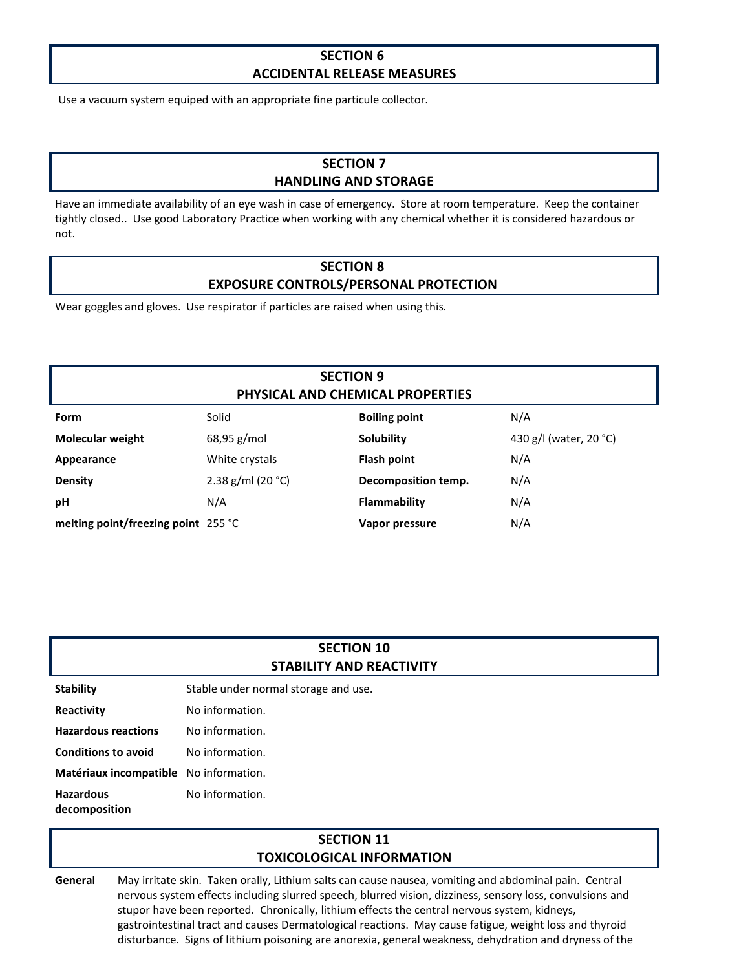### **SECTION 6 ACCIDENTAL RELEASE MEASURES**

Use a vacuum system equiped with an appropriate fine particule collector.

# **SECTION 7 HANDLING AND STORAGE**

Have an immediate availability of an eye wash in case of emergency. Store at room temperature. Keep the container tightly closed.. Use good Laboratory Practice when working with any chemical whether it is considered hazardous or not.

# **SECTION 8 EXPOSURE CONTROLS/PERSONAL PROTECTION**

Wear goggles and gloves. Use respirator if particles are raised when using this.

# **SECTION 9 PHYSICAL AND CHEMICAL PROPERTIES**

| Form                                | Solid                 | <b>Boiling point</b> | N/A                    |
|-------------------------------------|-----------------------|----------------------|------------------------|
| <b>Molecular weight</b>             | $68,95 \text{ g/mol}$ | Solubility           | 430 g/l (water, 20 °C) |
| Appearance                          | White crystals        | <b>Flash point</b>   | N/A                    |
| <b>Density</b>                      | 2.38 g/ml (20 $°C$ )  | Decomposition temp.  | N/A                    |
| рH                                  | N/A                   | Flammability         | N/A                    |
| melting point/freezing point 255 °C |                       | Vapor pressure       | N/A                    |

#### **SECTION 10 STABILITY AND REACTIVITY**

| <b>Stability</b>                       | Stable under normal storage and use. |
|----------------------------------------|--------------------------------------|
| Reactivity                             | No information.                      |
| <b>Hazardous reactions</b>             | No information.                      |
| <b>Conditions to avoid</b>             | No information.                      |
| Matériaux incompatible No information. |                                      |
| <b>Hazardous</b><br>decomposition      | No information.                      |

### **SECTION 11 TOXICOLOGICAL INFORMATION**

**General** May irritate skin. Taken orally, Lithium salts can cause nausea, vomiting and abdominal pain. Central nervous system effects including slurred speech, blurred vision, dizziness, sensory loss, convulsions and stupor have been reported. Chronically, lithium effects the central nervous system, kidneys, gastrointestinal tract and causes Dermatological reactions. May cause fatigue, weight loss and thyroid disturbance. Signs of lithium poisoning are anorexia, general weakness, dehydration and dryness of the